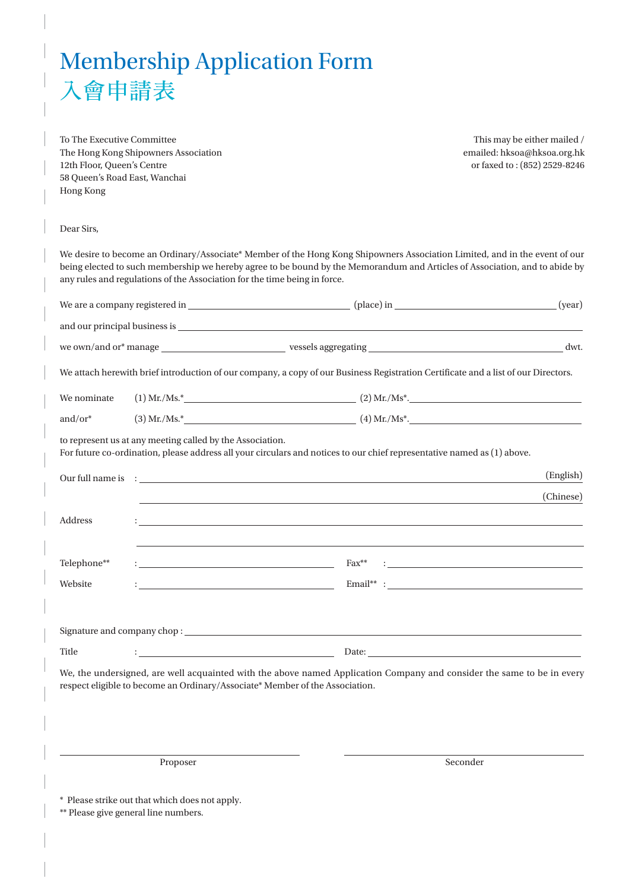## Membership Application Form 入會申請表

To The Executive Committee The Hong Kong Shipowners Association 12th Floor, Queen's Centre 58 Queen's Road East, Wanchai Hong Kong

This may be either mailed / emailed: hksoa@hksoa.org.hk or faxed to : (852) 2529-8246

Dear Sirs,

We desire to become an Ordinary/Associate\* Member of the Hong Kong Shipowners Association Limited, and in the event of our being elected to such membership we hereby agree to be bound by the Memorandum and Articles of Association, and to abide by any rules and regulations of the Association for the time being in force.

|             |                                                           | We attach herewith brief introduction of our company, a copy of our Business Registration Certificate and a list of our Directors.              |           |
|-------------|-----------------------------------------------------------|-------------------------------------------------------------------------------------------------------------------------------------------------|-----------|
| We nominate |                                                           |                                                                                                                                                 |           |
| and/or $*$  |                                                           |                                                                                                                                                 |           |
|             | to represent us at any meeting called by the Association. | For future co-ordination, please address all your circulars and notices to our chief representative named as (1) above.                         |           |
|             |                                                           |                                                                                                                                                 | (English) |
|             |                                                           | ,我们也不能在这里的时候,我们也不能在这里的时候,我们也不能会不能会不能会不能会不能会不能会不能会不能会不能会不能会。<br>第2012章 我们的时候,我们的时候,我们的时候,我们的时候,我们的时候,我们的时候,我们的时候,我们的时候,我们的时候,我们的时候,我们的时候,我们的时候,我 | (Chinese) |
| Address     |                                                           |                                                                                                                                                 |           |
| Telephone** |                                                           |                                                                                                                                                 |           |
| Website     |                                                           | $\noindent \textbf{Email}^{**} \; : \underline{\hspace{2.5cm}} \;$                                                                              |           |
|             |                                                           |                                                                                                                                                 |           |
|             |                                                           |                                                                                                                                                 |           |
| Title       |                                                           |                                                                                                                                                 |           |
|             |                                                           | We, the undersigned, are well acquainted with the above named Application Company and consider the same to be in every                          |           |

respect eligible to become an Ordinary/Associate\* Member of the Association.

Proposer and the seconder of the seconder seconder seconder seconder seconder seconder seconder seconder seconder

\* Please strike out that which does not apply.

\*\* Please give general line numbers.